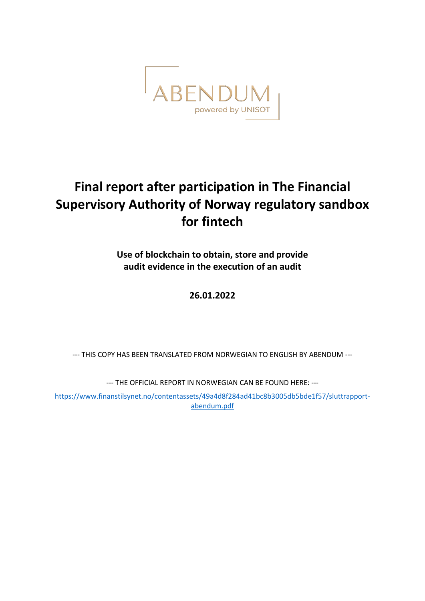

# **Final report after participation in The Financial Supervisory Authority of Norway regulatory sandbox for fintech**

**Use of blockchain to obtain, store and provide audit evidence in the execution of an audit**

## **26.01.2022**

--- THIS COPY HAS BEEN TRANSLATED FROM NORWEGIAN TO ENGLISH BY ABENDUM ---

--- THE OFFICIAL REPORT IN NORWEGIAN CAN BE FOUND HERE: ---

[https://www.finanstilsynet.no/contentassets/49a4d8f284ad41bc8b3005db5bde1f57/sluttrapport](https://www.finanstilsynet.no/contentassets/49a4d8f284ad41bc8b3005db5bde1f57/sluttrapport-abendum.pdf)[abendum.pdf](https://www.finanstilsynet.no/contentassets/49a4d8f284ad41bc8b3005db5bde1f57/sluttrapport-abendum.pdf)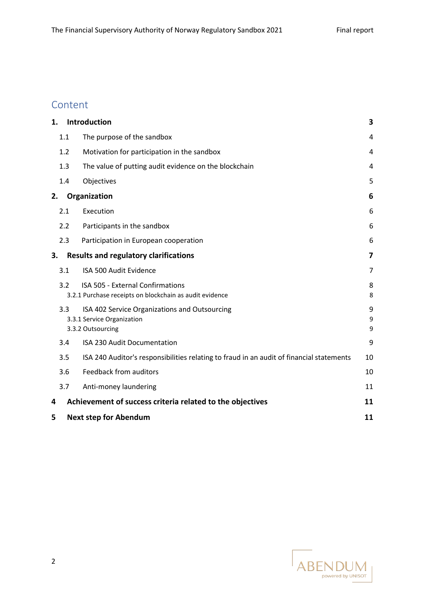## Content

| 1. |                                              | Introduction                                                                                       | 3           |
|----|----------------------------------------------|----------------------------------------------------------------------------------------------------|-------------|
|    | 1.1                                          | The purpose of the sandbox                                                                         | 4           |
|    | 1.2                                          | Motivation for participation in the sandbox                                                        | 4           |
|    | 1.3                                          | The value of putting audit evidence on the blockchain                                              | 4           |
|    | 1.4                                          | Objectives                                                                                         | 5           |
| 2. |                                              | Organization                                                                                       | 6           |
|    | 2.1                                          | Execution                                                                                          | 6           |
|    | 2.2                                          | Participants in the sandbox                                                                        | 6           |
|    | 2.3                                          | Participation in European cooperation                                                              | 6           |
| 3. | <b>Results and regulatory clarifications</b> | 7                                                                                                  |             |
|    | 3.1                                          | ISA 500 Audit Evidence                                                                             | 7           |
|    | 3.2                                          | <b>ISA 505 - External Confirmations</b><br>3.2.1 Purchase receipts on blockchain as audit evidence | 8<br>8      |
|    | 3.3                                          | ISA 402 Service Organizations and Outsourcing<br>3.3.1 Service Organization<br>3.3.2 Outsourcing   | 9<br>9<br>9 |
|    | 3.4                                          | ISA 230 Audit Documentation                                                                        | 9           |
|    | 3.5                                          | ISA 240 Auditor's responsibilities relating to fraud in an audit of financial statements           | 10          |
|    | 3.6                                          | <b>Feedback from auditors</b>                                                                      | 10          |
|    | 3.7                                          | Anti-money laundering                                                                              | 11          |
| 4  |                                              | Achievement of success criteria related to the objectives                                          | 11          |
| 5  | <b>Next step for Abendum</b>                 |                                                                                                    |             |

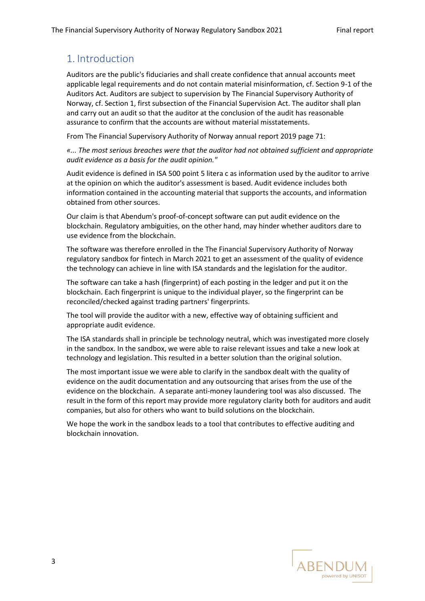## <span id="page-2-0"></span>1. Introduction

Auditors are the public's fiduciaries and shall create confidence that annual accounts meet applicable legal requirements and do not contain material misinformation, cf. Section 9-1 of the Auditors Act. Auditors are subject to supervision by The Financial Supervisory Authority of Norway, cf. Section 1, first subsection of the Financial Supervision Act. The auditor shall plan and carry out an audit so that the auditor at the conclusion of the audit has reasonable assurance to confirm that the accounts are without material misstatements.

From The Financial Supervisory Authority of Norway annual report 2019 page 71:

*«... The most serious breaches were that the auditor had not obtained sufficient and appropriate audit evidence as a basis for the audit opinion."*

Audit evidence is defined in ISA 500 point 5 litera c as information used by the auditor to arrive at the opinion on which the auditor's assessment is based. Audit evidence includes both information contained in the accounting material that supports the accounts, and information obtained from other sources.

Our claim is that Abendum's proof-of-concept software can put audit evidence on the blockchain. Regulatory ambiguities, on the other hand, may hinder whether auditors dare to use evidence from the blockchain.

The software was therefore enrolled in the The Financial Supervisory Authority of Norway regulatory sandbox for fintech in March 2021 to get an assessment of the quality of evidence the technology can achieve in line with ISA standards and the legislation for the auditor.

The software can take a hash (fingerprint) of each posting in the ledger and put it on the blockchain. Each fingerprint is unique to the individual player, so the fingerprint can be reconciled/checked against trading partners' fingerprints.

The tool will provide the auditor with a new, effective way of obtaining sufficient and appropriate audit evidence.

The ISA standards shall in principle be technology neutral, which was investigated more closely in the sandbox. In the sandbox, we were able to raise relevant issues and take a new look at technology and legislation. This resulted in a better solution than the original solution.

The most important issue we were able to clarify in the sandbox dealt with the quality of evidence on the audit documentation and any outsourcing that arises from the use of the evidence on the blockchain. A separate anti-money laundering tool was also discussed. The result in the form of this report may provide more regulatory clarity both for auditors and audit companies, but also for others who want to build solutions on the blockchain.

We hope the work in the sandbox leads to a tool that contributes to effective auditing and blockchain innovation.

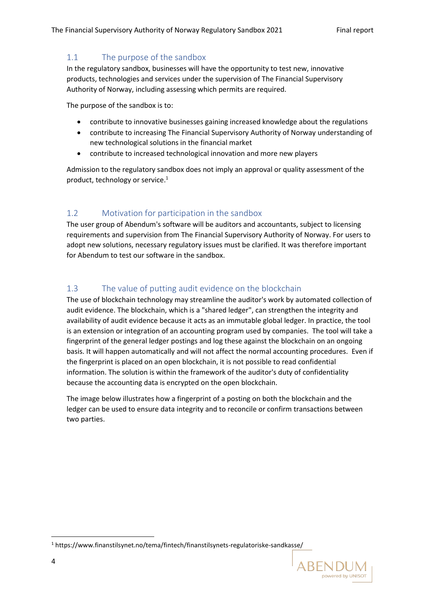#### <span id="page-3-0"></span>1.1 The purpose of the sandbox

In the regulatory sandbox, businesses will have the opportunity to test new, innovative products, technologies and services under the supervision of The Financial Supervisory Authority of Norway, including assessing which permits are required.

The purpose of the sandbox is to:

- contribute to innovative businesses gaining increased knowledge about the regulations
- contribute to increasing The Financial Supervisory Authority of Norway understanding of new technological solutions in the financial market
- contribute to increased technological innovation and more new players

Admission to the regulatory sandbox does not imply an approval or quality assessment of the product, technology or service. 1

### <span id="page-3-1"></span>1.2 Motivation for participation in the sandbox

The user group of Abendum's software will be auditors and accountants, subject to licensing requirements and supervision from The Financial Supervisory Authority of Norway. For users to adopt new solutions, necessary regulatory issues must be clarified. It was therefore important for Abendum to test our software in the sandbox.

### <span id="page-3-2"></span>1.3 The value of putting audit evidence on the blockchain

The use of blockchain technology may streamline the auditor's work by automated collection of audit evidence. The blockchain, which is a "shared ledger", can strengthen the integrity and availability of audit evidence because it acts as an immutable global ledger. In practice, the tool is an extension or integration of an accounting program used by companies. The tool will take a fingerprint of the general ledger postings and log these against the blockchain on an ongoing basis. It will happen automatically and will not affect the normal accounting procedures. Even if the fingerprint is placed on an open blockchain, it is not possible to read confidential information. The solution is within the framework of the auditor's duty of confidentiality because the accounting data is encrypted on the open blockchain.

The image below illustrates how a fingerprint of a posting on both the blockchain and the ledger can be used to ensure data integrity and to reconcile or confirm transactions between two parties.

<sup>1</sup> https://www.finanstilsynet.no/tema/fintech/finanstilsynets-regulatoriske-sandkasse/

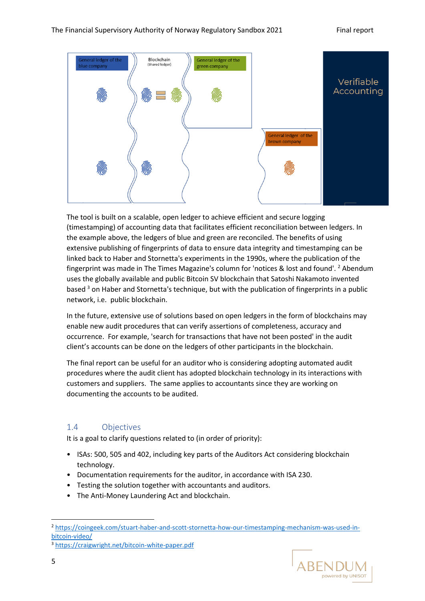

The tool is built on a scalable, open ledger to achieve efficient and secure logging (timestamping) of accounting data that facilitates efficient reconciliation between ledgers. In the example above, the ledgers of blue and green are reconciled. The benefits of using extensive publishing of fingerprints of data to ensure data integrity and timestamping can be linked back to Haber and Stornetta's experiments in the 1990s, where the publication of the fingerprint was made in The Times Magazine's column for 'notices & lost and found'. <sup>2</sup> Abendum uses the globally available and public Bitcoin SV blockchain that Satoshi Nakamoto invented based <sup>3</sup> on Haber and Stornetta's technique, but with the publication of fingerprints in a public network, i.e. public blockchain.

In the future, extensive use of solutions based on open ledgers in the form of blockchains may enable new audit procedures that can verify assertions of completeness, accuracy and occurrence. For example, 'search for transactions that have not been posted' in the audit client's accounts can be done on the ledgers of other participants in the blockchain.

The final report can be useful for an auditor who is considering adopting automated audit procedures where the audit client has adopted blockchain technology in its interactions with customers and suppliers. The same applies to accountants since they are working on documenting the accounts to be audited.

#### <span id="page-4-0"></span>1.4 Objectives

It is a goal to clarify questions related to (in order of priority):

- ISAs: 500, 505 and 402, including key parts of the Auditors Act considering blockchain technology.
- Documentation requirements for the auditor, in accordance with ISA 230.
- Testing the solution together with accountants and auditors.
- The Anti-Money Laundering Act and blockchain.

<sup>2</sup> [https://coingeek.com/stuart-haber-and-scott-stornetta-how-our-timestamping-mechanism-was-used-in](https://coingeek.com/stuart-haber-and-scott-stornetta-how-our-timestamping-mechanism-was-used-in-bitcoin-video/)[bitcoin-video/](https://coingeek.com/stuart-haber-and-scott-stornetta-how-our-timestamping-mechanism-was-used-in-bitcoin-video/)



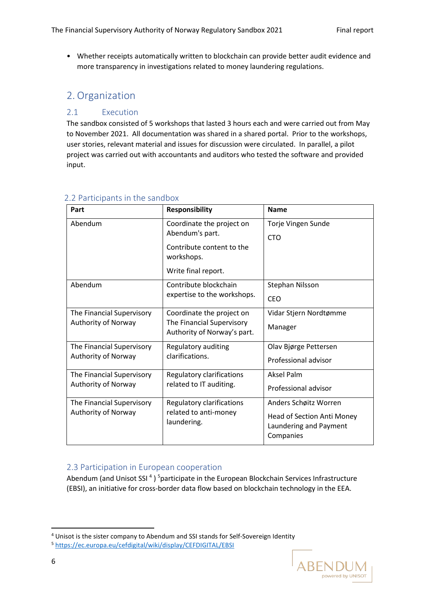• Whether receipts automatically written to blockchain can provide better audit evidence and more transparency in investigations related to money laundering regulations.

## <span id="page-5-0"></span>2. Organization

#### <span id="page-5-1"></span>2.1 Execution

The sandbox consisted of 5 workshops that lasted 3 hours each and were carried out from May to November 2021. All documentation was shared in a shared portal. Prior to the workshops, user stories, relevant material and issues for discussion were circulated. In parallel, a pilot project was carried out with accountants and auditors who tested the software and provided input.

| Part                      | <b>Responsibility</b>                                                                 | <b>Name</b>                                                       |
|---------------------------|---------------------------------------------------------------------------------------|-------------------------------------------------------------------|
| Abendum                   | Coordinate the project on<br>Abendum's part.                                          | Torje Vingen Sunde<br><b>CTO</b>                                  |
|                           | Contribute content to the<br>workshops.                                               |                                                                   |
|                           | Write final report.                                                                   |                                                                   |
| Abendum                   | Contribute blockchain<br>expertise to the workshops.                                  | Stephan Nilsson                                                   |
|                           |                                                                                       | <b>CEO</b>                                                        |
| The Financial Supervisory | Coordinate the project on<br>The Financial Supervisory<br>Authority of Norway's part. | Vidar Stjern Nordtømme                                            |
| Authority of Norway       |                                                                                       | Manager                                                           |
| The Financial Supervisory | Regulatory auditing<br>clarifications.                                                | Olav Bjørge Pettersen                                             |
| Authority of Norway       |                                                                                       | Professional advisor                                              |
| The Financial Supervisory | Regulatory clarifications<br>related to IT auditing.                                  | <b>Aksel Palm</b>                                                 |
| Authority of Norway       |                                                                                       | Professional advisor                                              |
| The Financial Supervisory | Regulatory clarifications<br>related to anti-money<br>laundering.                     | Anders Schøitz Worren                                             |
| Authority of Norway       |                                                                                       | Head of Section Anti Money<br>Laundering and Payment<br>Companies |

#### <span id="page-5-2"></span>2.2 Participants in the sandbox

#### <span id="page-5-3"></span>2.3 Participation in European cooperation

Abendum (and Unisot SSI<sup>4</sup>)<sup>5</sup>participate in the European Blockchain Services Infrastructure (EBSI), an initiative for cross-border data flow based on blockchain technology in the EEA.

<sup>4</sup> Unisot is the sister company to Abendum and SSI stands for Self-Sovereign Identity <sup>5</sup> <https://ec.europa.eu/cefdigital/wiki/display/CEFDIGITAL/EBSI>

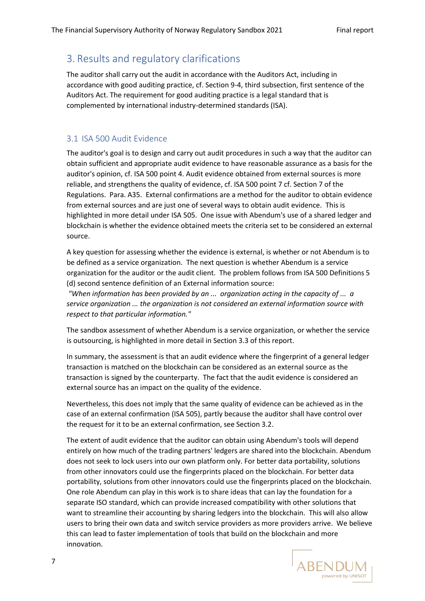## <span id="page-6-0"></span>3. Results and regulatory clarifications

The auditor shall carry out the audit in accordance with the Auditors Act, including in accordance with good auditing practice, cf. Section 9-4, third subsection, first sentence of the Auditors Act. The requirement for good auditing practice is a legal standard that is complemented by international industry-determined standards (ISA).

#### <span id="page-6-1"></span>3.1 ISA 500 Audit Evidence

The auditor's goal is to design and carry out audit procedures in such a way that the auditor can obtain sufficient and appropriate audit evidence to have reasonable assurance as a basis for the auditor's opinion, cf. ISA 500 point 4. Audit evidence obtained from external sources is more reliable, and strengthens the quality of evidence, cf. ISA 500 point 7 cf. Section 7 of the Regulations. Para. A35. External confirmations are a method for the auditor to obtain evidence from external sources and are just one of several ways to obtain audit evidence. This is highlighted in more detail under ISA 505. One issue with Abendum's use of a shared ledger and blockchain is whether the evidence obtained meets the criteria set to be considered an external source.

A key question for assessing whether the evidence is external, is whether or not Abendum is to be defined as a service organization. The next question is whether Abendum is a service organization for the auditor or the audit client. The problem follows from ISA 500 Definitions 5 (d) second sentence definition of an External information source:

*"When information has been provided by an ... organization acting in the capacity of ... a service organization ... the organization is not considered an external information source with respect to that particular information."* 

The sandbox assessment of whether Abendum is a service organization, or whether the service is outsourcing, is highlighted in more detail in Section 3.3 of this report.

In summary, the assessment is that an audit evidence where the fingerprint of a general ledger transaction is matched on the blockchain can be considered as an external source as the transaction is signed by the counterparty. The fact that the audit evidence is considered an external source has an impact on the quality of the evidence.

Nevertheless, this does not imply that the same quality of evidence can be achieved as in the case of an external confirmation (ISA 505), partly because the auditor shall have control over the request for it to be an external confirmation, see Section 3.2.

The extent of audit evidence that the auditor can obtain using Abendum's tools will depend entirely on how much of the trading partners' ledgers are shared into the blockchain. Abendum does not seek to lock users into our own platform only. For better data portability, solutions from other innovators could use the fingerprints placed on the blockchain. For better data portability, solutions from other innovators could use the fingerprints placed on the blockchain. One role Abendum can play in this work is to share ideas that can lay the foundation for a separate ISO standard, which can provide increased compatibility with other solutions that want to streamline their accounting by sharing ledgers into the blockchain. This will also allow users to bring their own data and switch service providers as more providers arrive. We believe this can lead to faster implementation of tools that build on the blockchain and more innovation.

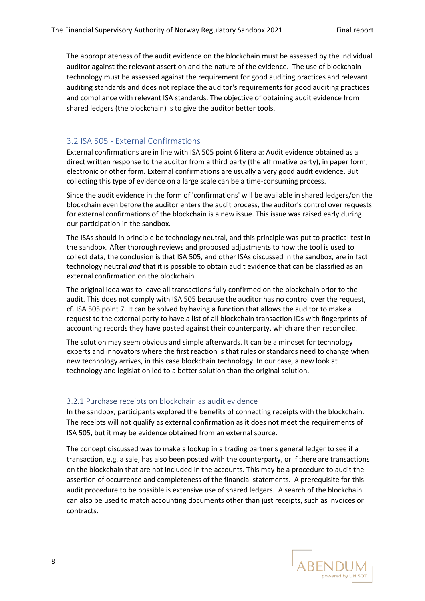The appropriateness of the audit evidence on the blockchain must be assessed by the individual auditor against the relevant assertion and the nature of the evidence. The use of blockchain technology must be assessed against the requirement for good auditing practices and relevant auditing standards and does not replace the auditor's requirements for good auditing practices and compliance with relevant ISA standards. The objective of obtaining audit evidence from shared ledgers (the blockchain) is to give the auditor better tools.

#### <span id="page-7-0"></span>3.2 ISA 505 - External Confirmations

External confirmations are in line with ISA 505 point 6 litera a: Audit evidence obtained as a direct written response to the auditor from a third party (the affirmative party), in paper form, electronic or other form. External confirmations are usually a very good audit evidence. But collecting this type of evidence on a large scale can be a time-consuming process.

Since the audit evidence in the form of 'confirmations' will be available in shared ledgers/on the blockchain even before the auditor enters the audit process, the auditor's control over requests for external confirmations of the blockchain is a new issue. This issue was raised early during our participation in the sandbox.

The ISAs should in principle be technology neutral, and this principle was put to practical test in the sandbox. After thorough reviews and proposed adjustments to how the tool is used to collect data, the conclusion is that ISA 505, and other ISAs discussed in the sandbox, are in fact technology neutral *and* that it is possible to obtain audit evidence that can be classified as an external confirmation on the blockchain.

The original idea was to leave all transactions fully confirmed on the blockchain prior to the audit. This does not comply with ISA 505 because the auditor has no control over the request, cf. ISA 505 point 7. It can be solved by having a function that allows the auditor to make a request to the external party to have a list of all blockchain transaction IDs with fingerprints of accounting records they have posted against their counterparty, which are then reconciled.

The solution may seem obvious and simple afterwards. It can be a mindset for technology experts and innovators where the first reaction is that rules or standards need to change when new technology arrives, in this case blockchain technology. In our case, a new look at technology and legislation led to a better solution than the original solution.

#### <span id="page-7-1"></span>3.2.1 Purchase receipts on blockchain as audit evidence

In the sandbox, participants explored the benefits of connecting receipts with the blockchain. The receipts will not qualify as external confirmation as it does not meet the requirements of ISA 505, but it may be evidence obtained from an external source.

The concept discussed was to make a lookup in a trading partner's general ledger to see if a transaction, e.g. a sale, has also been posted with the counterparty, or if there are transactions on the blockchain that are not included in the accounts. This may be a procedure to audit the assertion of occurrence and completeness of the financial statements. A prerequisite for this audit procedure to be possible is extensive use of shared ledgers. A search of the blockchain can also be used to match accounting documents other than just receipts, such as invoices or contracts.

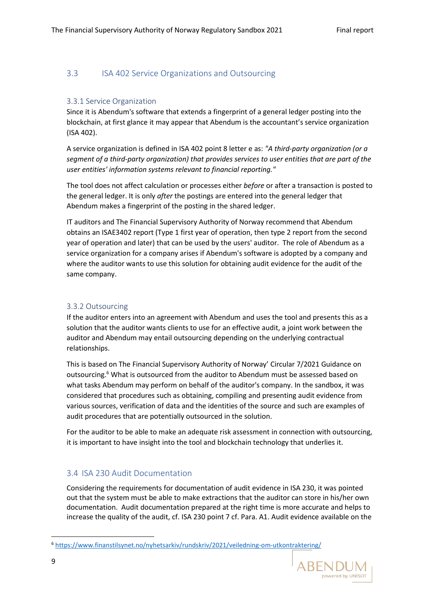#### <span id="page-8-0"></span>3.3 ISA 402 Service Organizations and Outsourcing

#### <span id="page-8-1"></span>3.3.1 Service Organization

Since it is Abendum's software that extends a fingerprint of a general ledger posting into the blockchain, at first glance it may appear that Abendum is the accountant's service organization (ISA 402).

A service organization is defined in ISA 402 point 8 letter e as: *"A third-party organization (or a segment of a third-party organization) that provides services to user entities that are part of the user entities' information systems relevant to financial reporting."*

The tool does not affect calculation or processes either *before* or after a transaction is posted to the general ledger. It is only *after* the postings are entered into the general ledger that Abendum makes a fingerprint of the posting in the shared ledger.

IT auditors and The Financial Supervisory Authority of Norway recommend that Abendum obtains an ISAE3402 report (Type 1 first year of operation, then type 2 report from the second year of operation and later) that can be used by the users' auditor. The role of Abendum as a service organization for a company arises if Abendum's software is adopted by a company and where the auditor wants to use this solution for obtaining audit evidence for the audit of the same company.

#### <span id="page-8-2"></span>3.3.2 Outsourcing

If the auditor enters into an agreement with Abendum and uses the tool and presents this as a solution that the auditor wants clients to use for an effective audit, a joint work between the auditor and Abendum may entail outsourcing depending on the underlying contractual relationships.

This is based on The Financial Supervisory Authority of Norway' Circular 7/2021 Guidance on outsourcing. <sup>6</sup> What is outsourced from the auditor to Abendum must be assessed based on what tasks Abendum may perform on behalf of the auditor's company. In the sandbox, it was considered that procedures such as obtaining, compiling and presenting audit evidence from various sources, verification of data and the identities of the source and such are examples of audit procedures that are potentially outsourced in the solution.

For the auditor to be able to make an adequate risk assessment in connection with outsourcing, it is important to have insight into the tool and blockchain technology that underlies it.

#### <span id="page-8-3"></span>3.4 ISA 230 Audit Documentation

Considering the requirements for documentation of audit evidence in ISA 230, it was pointed out that the system must be able to make extractions that the auditor can store in his/her own documentation. Audit documentation prepared at the right time is more accurate and helps to increase the quality of the audit, cf. ISA 230 point 7 cf. Para. A1. Audit evidence available on the

<sup>6</sup> <https://www.finanstilsynet.no/nyhetsarkiv/rundskriv/2021/veiledning-om-utkontraktering/>

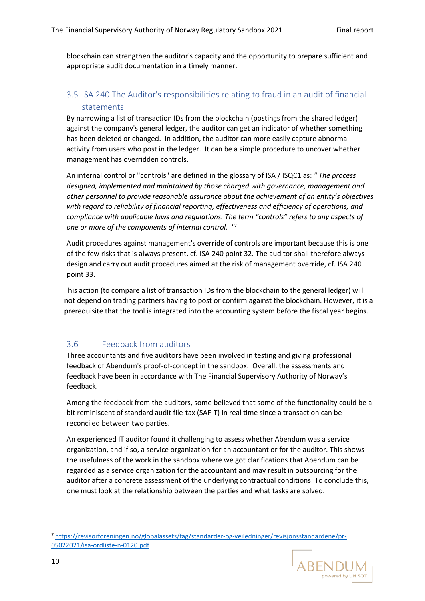blockchain can strengthen the auditor's capacity and the opportunity to prepare sufficient and appropriate audit documentation in a timely manner.

#### <span id="page-9-0"></span>3.5 ISA 240 The Auditor's responsibilities relating to fraud in an audit of financial statements

By narrowing a list of transaction IDs from the blockchain (postings from the shared ledger) against the company's general ledger, the auditor can get an indicator of whether something has been deleted or changed. In addition, the auditor can more easily capture abnormal activity from users who post in the ledger. It can be a simple procedure to uncover whether management has overridden controls.

An internal control or "controls" are defined in the glossary of ISA / ISQC1 as: *" The process designed, implemented and maintained by those charged with governance, management and other personnel to provide reasonable assurance about the achievement of an entity's objectives with regard to reliability of financial reporting, effectiveness and efficiency of operations, and compliance with applicable laws and regulations. The term "controls" refers to any aspects of one or more of the components of internal control. "* 7

Audit procedures against management's override of controls are important because this is one of the few risks that is always present, cf. ISA 240 point 32. The auditor shall therefore always design and carry out audit procedures aimed at the risk of management override, cf. ISA 240 point 33.

This action (to compare a list of transaction IDs from the blockchain to the general ledger) will not depend on trading partners having to post or confirm against the blockchain. However, it is a prerequisite that the tool is integrated into the accounting system before the fiscal year begins.

#### <span id="page-9-1"></span>3.6 Feedback from auditors

Three accountants and five auditors have been involved in testing and giving professional feedback of Abendum's proof-of-concept in the sandbox. Overall, the assessments and feedback have been in accordance with The Financial Supervisory Authority of Norway's feedback.

Among the feedback from the auditors, some believed that some of the functionality could be a bit reminiscent of standard audit file-tax (SAF-T) in real time since a transaction can be reconciled between two parties.

An experienced IT auditor found it challenging to assess whether Abendum was a service organization, and if so, a service organization for an accountant or for the auditor. This shows the usefulness of the work in the sandbox where we got clarifications that Abendum can be regarded as a service organization for the accountant and may result in outsourcing for the auditor after a concrete assessment of the underlying contractual conditions. To conclude this, one must look at the relationship between the parties and what tasks are solved.

<sup>7</sup> [https://revisorforeningen.no/globalassets/fag/standarder-og-veiledninger/revisjonsstandardene/pr-](https://revisorforeningen.no/globalassets/fag/standarder-og-veiledninger/revisjonsstandardene/pr-05022021/isa-ordliste-n-0120.pdf)[05022021/isa-ordliste-n-0120.pdf](https://revisorforeningen.no/globalassets/fag/standarder-og-veiledninger/revisjonsstandardene/pr-05022021/isa-ordliste-n-0120.pdf)